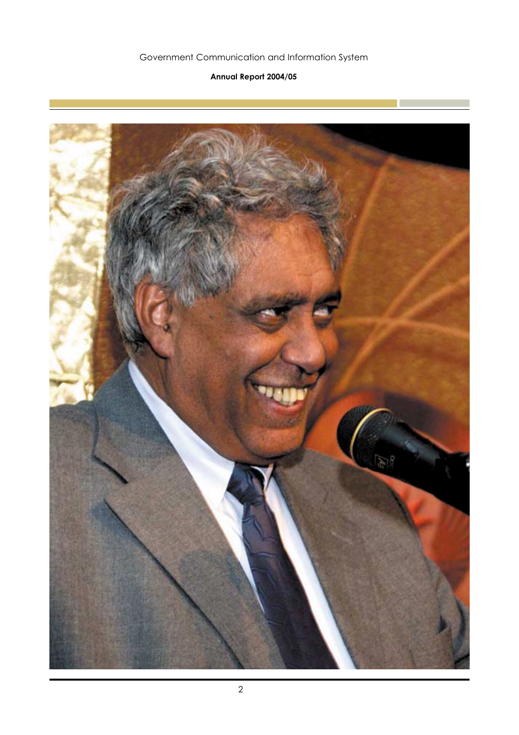# Government Communication and Information System

## **Annual Report 2004/05**

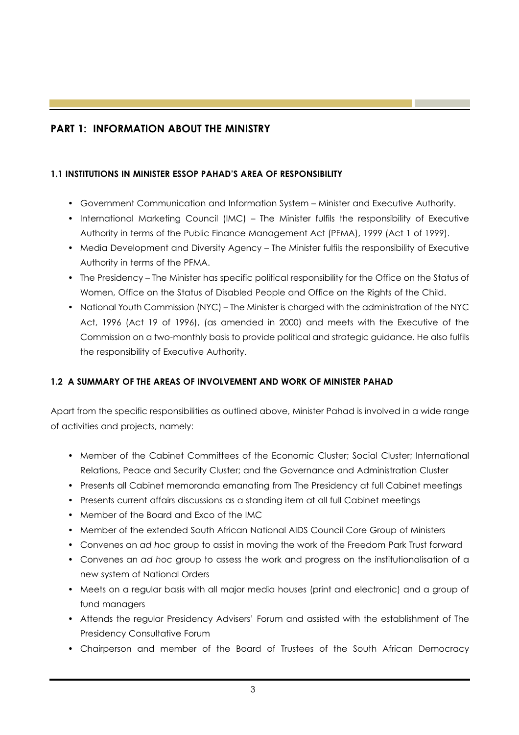# **PART 1: INFORMATION ABOUT THE MINISTRY**

## **1.1 INSTITUTIONS IN MINISTER ESSOP PAHAD'S AREA OF RESPONSIBILITY**

- Government Communication and Information System Minister and Executive Authority.
- International Marketing Council (IMC) The Minister fulfils the responsibility of Executive Authority in terms of the Public Finance Management Act (PFMA), 1999 (Act 1 of 1999).
- Media Development and Diversity Agency The Minister fulfils the responsibility of Executive Authority in terms of the PFMA.
- The Presidency The Minister has specific political responsibility for the Office on the Status of Women, Office on the Status of Disabled People and Office on the Rights of the Child.
- National Youth Commission (NYC) The Minister is charged with the administration of the NYC Act, 1996 (Act 19 of 1996), (as amended in 2000) and meets with the Executive of the Commission on a two-monthly basis to provide political and strategic guidance. He also fulfils the responsibility of Executive Authority.

## **1.2 A SUMMARY OF THE AREAS OF INVOLVEMENT AND WORK OF MINISTER PAHAD**

Apart from the specific responsibilities as outlined above, Minister Pahad is involved in a wide range of activities and projects, namely:

- Member of the Cabinet Committees of the Economic Cluster; Social Cluster; International Relations, Peace and Security Cluster; and the Governance and Administration Cluster
- Presents all Cabinet memoranda emanating from The Presidency at full Cabinet meetings
- Presents current affairs discussions as a standing item at all full Cabinet meetings
- Member of the Board and Exco of the IMC
- Member of the extended South African National AIDS Council Core Group of Ministers
- Convenes an *ad hoc* group to assist in moving the work of the Freedom Park Trust forward
- Convenes an *ad hoc* group to assess the work and progress on the institutionalisation of a new system of National Orders
- Meets on a regular basis with all major media houses (print and electronic) and a group of fund managers
- Attends the regular Presidency Advisers' Forum and assisted with the establishment of The Presidency Consultative Forum
- Chairperson and member of the Board of Trustees of the South African Democracy